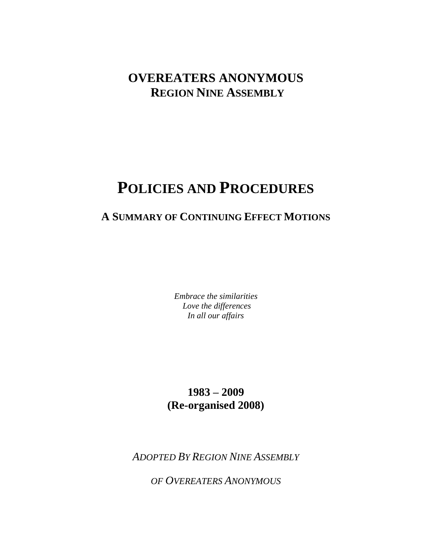## **OVEREATERS ANONYMOUS REGION NINE ASSEMBLY**

# **POLICIES AND PROCEDURES**

### **A SUMMARY OF CONTINUING EFFECT MOTIONS**

*Embrace the similarities Love the differences In all our affairs* 

### **1983 – 2009 (Re-organised 2008)**

*ADOPTED BY REGION NINE ASSEMBLY* 

*OF OVEREATERS ANONYMOUS*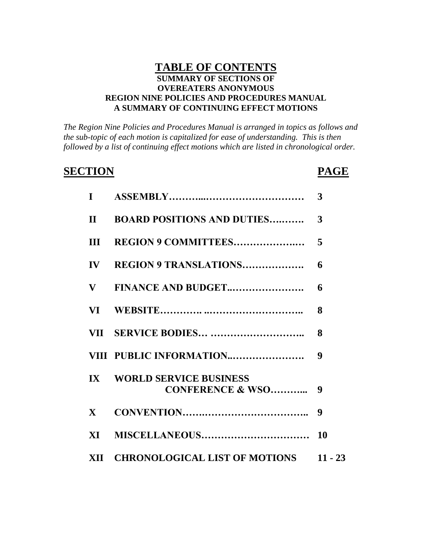### **TABLE OF CONTENTS SUMMARY OF SECTIONS OF OVEREATERS ANONYMOUS REGION NINE POLICIES AND PROCEDURES MANUAL A SUMMARY OF CONTINUING EFFECT MOTIONS**

*The Region Nine Policies and Procedures Manual is arranged in topics as follows and the sub-topic of each motion is capitalized for ease of understanding. This is then followed by a list of continuing effect motions which are listed in chronological order.*

### **SECTION PAGE**

| $\mathbf I$             |                                                              | 3  |
|-------------------------|--------------------------------------------------------------|----|
| $\mathbf{H}$            | <b>BOARD POSITIONS AND DUTIES</b>                            | 3  |
| III                     | <b>REGION 9 COMMITTEES</b>                                   | 5  |
| $\mathbf{IV}$           | <b>REGION 9 TRANSLATIONS</b>                                 | 6  |
| $\bf{V}$                | FINANCE AND BUDGET                                           | 6  |
|                         |                                                              | 8  |
|                         |                                                              | 8  |
|                         | VIII PUBLIC INFORMATION                                      | 9  |
| $\mathbf{I} \mathbf{X}$ | <b>WORLD SERVICE BUSINESS</b><br><b>CONFERENCE &amp; WSO</b> | 9  |
| $\mathbf{X}$            |                                                              | 9  |
| XI —                    |                                                              | 10 |
|                         | XII CHRONOLOGICAL LIST OF MOTIONS 11 - 23                    |    |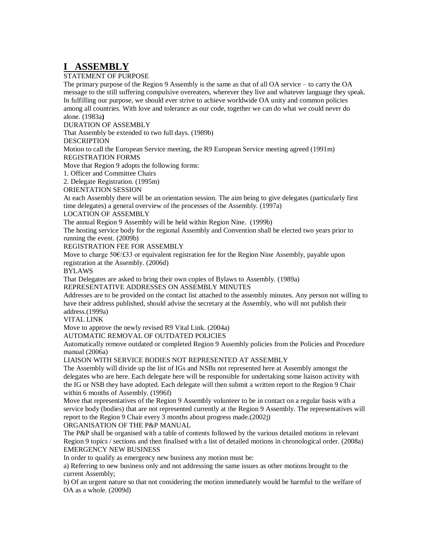### **I ASSEMBLY**

#### STATEMENT OF PURPOSE

The primary purpose of the Region 9 Assembly is the same as that of all OA service – to carry the OA message to the still suffering compulsive overeaters, wherever they live and whatever language they speak. In fulfilling our purpose, we should ever strive to achieve worldwide OA unity and common policies among all countries. With love and tolerance as our code, together we can do what we could never do alone. (1983a**)**

DURATION OF ASSEMBLY

That Assembly be extended to two full days. (1989b)

DESCRIPTION

Motion to call the European Service meeting, the R9 European Service meeting agreed (1991m) REGISTRATION FORMS

Move that Region 9 adopts the following forms:

1. Officer and Committee Chairs

2. Delegate Registration. (1995m)

ORIENTATION SESSION

At each Assembly there will be an orientation session. The aim being to give delegates (particularly first time delegates) a general overview of the processes of the Assembly. (1997a)

LOCATION OF ASSEMBLY

The annual Region 9 Assembly will be held within Region Nine. (1999b)

The hosting service body for the regional Assembly and Convention shall be elected two years prior to running the event. (2009b)

REGISTRATION FEE FOR ASSEMBLY

Move to charge 50€/£33 or equivalent registration fee for the Region Nine Assembly, payable upon registration at the Assembly. (2006d)

BYLAWS

That Delegates are asked to bring their own copies of Bylaws to Assembly. (1989a)

REPRESENTATIVE ADDRESSES ON ASSEMBLY MINUTES

Addresses are to be provided on the contact list attached to the assembly minutes. Any person not willing to have their address published, should advise the secretary at the Assembly, who will not publish their address.(1999a)

VITAL LINK

Move to approve the newly revised R9 Vital Link. (2004a)

AUTOMATIC REMOVAL OF OUTDATED POLICIES

Automatically remove outdated or completed Region 9 Assembly policies from the Policies and Procedure manual (2006a)

LIAISON WITH SERVICE BODIES NOT REPRESENTED AT ASSEMBLY

The Assembly will divide up the list of IGs and NSBs not represented here at Assembly amongst the delegates who are here. Each delegate here will be responsible for undertaking some liaison activity with the IG or NSB they have adopted. Each delegate will then submit a written report to the Region 9 Chair within 6 months of Assembly. (1996f)

Move that representatives of the Region 9 Assembly volunteer to be in contact on a regular basis with a service body (bodies) that are not represented currently at the Region 9 Assembly. The representatives will report to the Region 9 Chair every 3 months about progress made.(2002j)

ORGANISATION OF THE P&P MANUAL

The P&P shall be organised with a table of contents followed by the various detailed motions in relevant Region 9 topics / sections and then finalised with a list of detailed motions in chronological order. (2008a) EMERGENCY NEW BUSINESS

In order to qualify as emergency new business any motion must be:

a) Referring to new business only and not addressing the same issues as other motions brought to the current Assembly;

b) Of an urgent nature so that not considering the motion immediately would be harmful to the welfare of OA as a whole. (2009d)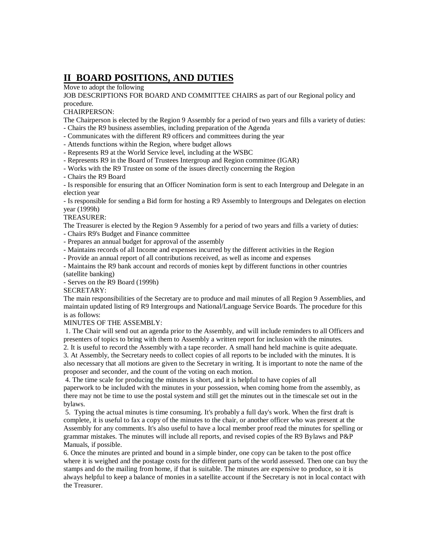### **II BOARD POSITIONS, AND DUTIES**

Move to adopt the following

JOB DESCRIPTIONS FOR BOARD AND COMMITTEE CHAIRS as part of our Regional policy and procedure.

CHAIRPERSON:

The Chairperson is elected by the Region 9 Assembly for a period of two years and fills a variety of duties:

- Chairs the R9 business assemblies, including preparation of the Agenda

- Communicates with the different R9 officers and committees during the year

- Attends functions within the Region, where budget allows

- Represents R9 at the World Service level, including at the WSBC

- Represents R9 in the Board of Trustees Intergroup and Region committee (IGAR)

- Works with the R9 Trustee on some of the issues directly concerning the Region

- Chairs the R9 Board

- Is responsible for ensuring that an Officer Nomination form is sent to each Intergroup and Delegate in an election year

- Is responsible for sending a Bid form for hosting a R9 Assembly to Intergroups and Delegates on election year (1999h)

#### TREASURER:

The Treasurer is elected by the Region 9 Assembly for a period of two years and fills a variety of duties:

- Chairs R9's Budget and Finance committee

- Prepares an annual budget for approval of the assembly

- Maintains records of all Income and expenses incurred by the different activities in the Region

- Provide an annual report of all contributions received, as well as income and expenses

- Maintains the R9 bank account and records of monies kept by different functions in other countries (satellite banking)

- Serves on the R9 Board (1999h)

SECRETARY:

The main responsibilities of the Secretary are to produce and mail minutes of all Region 9 Assemblies, and maintain updated listing of R9 Intergroups and National/Language Service Boards. The procedure for this is as follows:

MINUTES OF THE ASSEMBLY:

1. The Chair will send out an agenda prior to the Assembly, and will include reminders to all Officers and presenters of topics to bring with them to Assembly a written report for inclusion with the minutes.

2. It is useful to record the Assembly with a tape recorder. A small hand held machine is quite adequate. 3. At Assembly, the Secretary needs to collect copies of all reports to be included with the minutes. It is also necessary that all motions are given to the Secretary in writing. It is important to note the name of the proposer and seconder, and the count of the voting on each motion.

4. The time scale for producing the minutes is short, and it is helpful to have copies of all paperwork to be included with the minutes in your possession, when coming home from the assembly, as there may not be time to use the postal system and still get the minutes out in the timescale set out in the bylaws.

5. Typing the actual minutes is time consuming. It's probably a full day's work. When the first draft is complete, it is useful to fax a copy of the minutes to the chair, or another officer who was present at the Assembly for any comments. It's also useful to have a local member proof read the minutes for spelling or grammar mistakes. The minutes will include all reports, and revised copies of the R9 Bylaws and P&P Manuals, if possible.

6. Once the minutes are printed and bound in a simple binder, one copy can be taken to the post office where it is weighed and the postage costs for the different parts of the world assessed. Then one can buy the stamps and do the mailing from home, if that is suitable. The minutes are expensive to produce, so it is always helpful to keep a balance of monies in a satellite account if the Secretary is not in local contact with the Treasurer.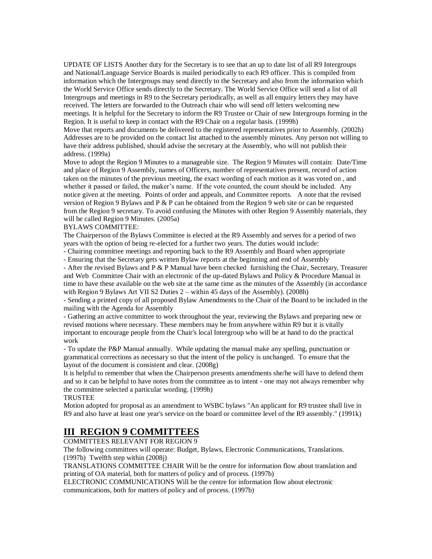UPDATE OF LISTS Another duty for the Secretary is to see that an up to date list of all R9 Intergroups and National/Language Service Boards is mailed periodically to each R9 officer. This is compiled from information which the Intergroups may send directly to the Secretary and also from the information which the World Service Office sends directly to the Secretary. The World Service Office will send a list of all Intergroups and meetings in R9 to the Secretary periodically, as well as all enquiry letters they may have received. The letters are forwarded to the Outreach chair who will send off letters welcoming new meetings. It is helpful for the Secretary to inform the R9 Trustee or Chair of new Intergroups forming in the Region. It is useful to keep in contact with the R9 Chair on a regular basis. (1999h)

Move that reports and documents be delivered to the registered representatives prior to Assembly. (2002h) Addresses are to be provided on the contact list attached to the assembly minutes. Any person not willing to have their address published, should advise the secretary at the Assembly, who will not publish their address. (1999a)

Move to adopt the Region 9 Minutes to a manageable size. The Region 9 Minutes will contain: Date/Time and place of Region 9 Assembly, names of Officers, number of representatives present, record of action taken on the minutes of the previous meeting, the exact wording of each motion as it was voted on , and whether it passed or failed, the maker's name. If the vote counted, the count should be included. Any notice given at the meeting. Points of order and appeals, and Committee reports. A note that the revised version of Region 9 Bylaws and P  $&$  P can be obtained from the Region 9 web site or can be requested from the Region 9 secretary. To avoid confusing the Minutes with other Region 9 Assembly materials, they will be called Region 9 Minutes. (2005a)

#### BYLAWS COMMITTEE:

The Chairperson of the Bylaws Committee is elected at the R9 Assembly and serves for a period of two years with the option of being re-elected for a further two years. The duties would include:

- Chairing committee meetings and reporting back to the R9 Assembly and Board when appropriate

- Ensuring that the Secretary gets written Bylaw reports at the beginning and end of Assembly

- After the revised Bylaws and P & P Manual have been checked furnishing the Chair, Secretary, Treasurer and Web Committee Chair with an electronic of the up-dated Bylaws and Policy & Procedure Manual in time to have these available on the web site at the same time as the minutes of the Assembly (in accordance with Region 9 Bylaws Art VII S2 Duties 2 – within 45 days of the Assembly). (2008h)

- Sending a printed copy of all proposed Bylaw Amendments to the Chair of the Board to be included in the mailing with the Agenda for Assembly

- Gathering an active committee to work throughout the year, reviewing the Bylaws and preparing new or revised motions where necessary. These members may be from anywhere within R9 but it is vitally important to encourage people from the Chair's local Intergroup who will be at hand to do the practical work

- To update the P&P Manual annually. While updating the manual make any spelling, punctuation or grammatical corrections as necessary so that the intent of the policy is unchanged. To ensure that the layout of the document is consistent and clear. (2008g)

It is helpful to remember that when the Chairperson presents amendments she/he will have to defend them and so it can be helpful to have notes from the committee as to intent - one may not always remember why the committee selected a particular wording. (1999h)

#### **TRUSTEE**

Motion adopted for proposal as an amendment to WSBC bylaws "An applicant for R9 trustee shall live in R9 and also have at least one year's service on the board or committee level of the R9 assembly." (1991k)

### **III REGION 9 COMMITTEES**

COMMITTEES RELEVANT FOR REGION 9

The following committees will operate: Budget, Bylaws, Electronic Communications, Translations. (1997b) Twelfth step within (2008j)

TRANSLATIONS COMMITTEE CHAIR Will be the centre for information flow about translation and printing of OA material, both for matters of policy and of process. (1997b)

ELECTRONIC COMMUNICATIONS Will be the centre for information flow about electronic communications, both for matters of policy and of process. (1997b)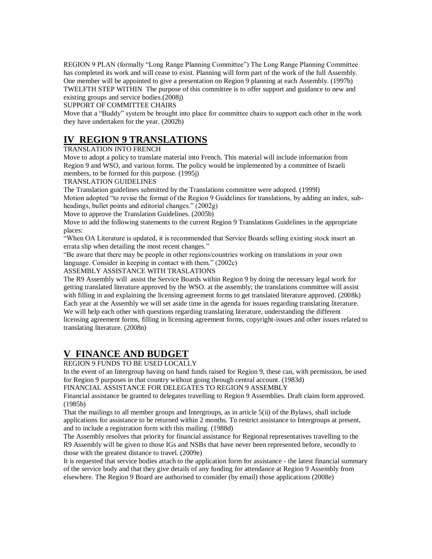REGION 9 PLAN (formally "Long Range Planning Committee") The Long Range Planning Committee has completed its work and will cease to exist. Planning will form part of the work of the full Assembly. One member will be appointed to give a presentation on Region 9 planning at each Assembly. (1997b) TWELFTH STEP WITHIN The purpose of this committee is to offer support and guidance to new and existing groups and service bodies.(2008j)

SUPPORT OF COMMITTEE CHAIRS

Move that a "Buddy" system be brought into place for committee chairs to support each other in the work they have undertaken for the year. (2002b)

### **IV REGION 9 TRANSLATIONS**

TRANSLATION INTO FRENCH

Move to adopt a policy to translate material into French. This material will include information from Region 9 and WSO, and various forms. The policy would be implemented by a committee of Israeli members, to be formed for this purpose. (1995j)

TRANSLATION GUIDELINES

The Translation guidelines submitted by the Translations committee were adopted. (1999l) Motion adopted "to revise the format of the Region 9 Guidelines for translations, by adding an index, subheadings, bullet points and editorial changes." (2002g)

Move to approve the Translation Guidelines. (2005b)

Move to add the following statements to the current Region 9 Translations Guidelines in the appropriate places:

"When OA Literature is updated, it is recommended that Service Boards selling existing stock insert an errata slip when detailing the most recent changes."

"Be aware that there may be people in other regions/countries working on translations in your own language. Consider in keeping in contact with them." (2002c)

ASSEMBLY ASSISTANCE WITH TRASLATIONS

The R9 Assembly will assist the Service Boards within Region 9 by doing the necessary legal work for getting translated literature approved by the WSO. at the assembly; the translations committee will assist with filling in and explaining the licensing agreement forms to get translated literature approved. (2008k) Each year at the Assembly we will set aside time in the agenda for issues regarding translating literature. We will help each other with questions regarding translating literature, understanding the different licensing agreement forms, filling in licensing agreement forms, copyright-issues and other issues related to translating literature. (2008n)

### **V FINANCE AND BUDGET**

REGION 9 FUNDS TO BE USED LOCALLY

In the event of an Intergroup having on hand funds raised for Region 9, these can, with permission, be used for Region 9 purposes in that country without going through central account. (1983d)

FINANCIAL ASSISTANCE FOR DELEGATES TO REGION 9 ASSEMBLY

Financial assistance be granted to delegates travelling to Region 9 Assemblies. Draft claim form approved. (1985b)

That the mailings to all member groups and Intergroups, as in article 5(ii) of the Bylaws, shall include applications for assistance to be returned within 2 months. To restrict assistance to Intergroups at present, and to include a registration form with this mailing. (1988d)

The Assembly resolves that priority for financial assistance for Regional representatives travelling to the R9 Assembly will be given to those IGs and NSBs that have never been represented before, secondly to those with the greatest distance to travel. (2009e)

It is requested that service bodies attach to the application form for assistance - the latest financial summary of the service body and that they give details of any funding for attendance at Region 9 Assembly from elsewhere. The Region 9 Board are authorised to consider (by email) those applications (2008e)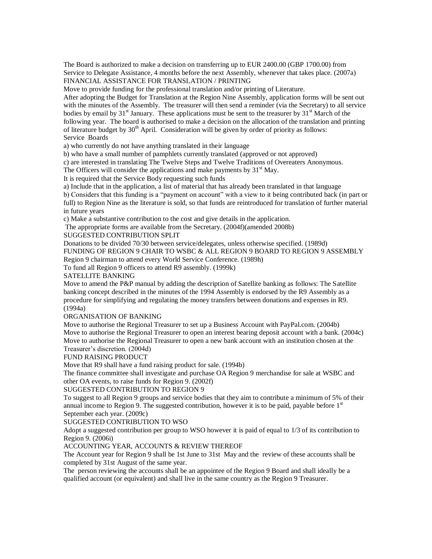The Board is authorized to make a decision on transferring up to EUR 2400.00 (GBP 1700.00) from Service to Delegate Assistance, 4 months before the next Assembly, whenever that takes place. (2007a) FINANCIAL ASSISTANCE FOR TRANSLATION / PRINTING

Move to provide funding for the professional translation and/or printing of Literature.

After adopting the Budget for Translation at the Region Nine Assembly, application forms will be sent out with the minutes of the Assembly. The treasurer will then send a reminder (via the Secretary) to all service bodies by email by  $31<sup>st</sup>$  January. These applications must be sent to the treasurer by  $31<sup>st</sup>$  March of the following year. The board is authorised to make a decision on the allocation of the translation and printing of literature budget by  $30<sup>th</sup>$  April. Consideration will be given by order of priority as follows: Service Boards

a) who currently do not have anything translated in their language

b) who have a small number of pamphlets currently translated (approved or not approved)

c) are interested in translating The Twelve Steps and Twelve Traditions of Overeaters Anonymous.

The Officers will consider the applications and make payments by  $31<sup>st</sup>$  May.

It is required that the Service Body requesting such funds

a) Include that in the application, a list of material that has already been translated in that language

b) Considers that this funding is a "payment on account" with a view to it being contributed back (in part or full) to Region Nine as the literature is sold, so that funds are reintroduced for translation of further material in future years

c) Make a substantive contribution to the cost and give details in the application.

The appropriate forms are available from the Secretary. (2004f)(amended 2008b)

SUGGESTED CONTRIBUTION SPLIT

Donations to be divided 70/30 between service/delegates, unless otherwise specified. (1989d) FUNDING OF REGION 9 CHAIR TO WSBC & ALL REGION 9 BOARD TO REGION 9 ASSEMBLY Region 9 chairman to attend every World Service Conference. (1989h)

To fund all Region 9 officers to attend R9 assembly. (1999k)

SATELLITE BANKING

Move to amend the P&P manual by adding the description of Satellite banking as follows: The Satellite banking concept described in the minutes of the 1994 Assembly is endorsed by the R9 Assembly as a procedure for simplifying and regulating the money transfers between donations and expenses in R9. (1994a)

ORGANISATION OF BANKING

Move to authorise the Regional Treasurer to set up a Business Account with PayPal.com. (2004b) Move to authorise the Regional Treasurer to open an interest bearing deposit account with a bank. (2004c) Move to authorise the Regional Treasurer to open a new bank account with an institution chosen at the Treasurer"s discretion. (2004d)

#### FUND RAISING PRODUCT

Move that R9 shall have a fund raising product for sale. (1994b)

The finance committee shall investigate and purchase OA Region 9 merchandise for sale at WSBC and other OA events, to raise funds for Region 9. (2002f)

#### SUGGESTED CONTRIBUTION TO REGION 9

To suggest to all Region 9 groups and service bodies that they aim to contribute a minimum of 5% of their annual income to Region 9. The suggested contribution, however it is to be paid, payable before  $1<sup>st</sup>$ September each year. (2009c)

#### SUGGESTED CONTRIBUTION TO WSO

Adopt a suggested contribution per group to WSO however it is paid of equal to 1/3 of its contribution to Region 9. (2006i)

#### ACCOUNTING YEAR, ACCOUNTS & REVIEW THEREOF

The Account year for Region 9 shall be 1st June to 31st May and the review of these accounts shall be completed by 31st August of the same year.

The person reviewing the accounts shall be an appointee of the Region 9 Board and shall ideally be a qualified account (or equivalent) and shall live in the same country as the Region 9 Treasurer.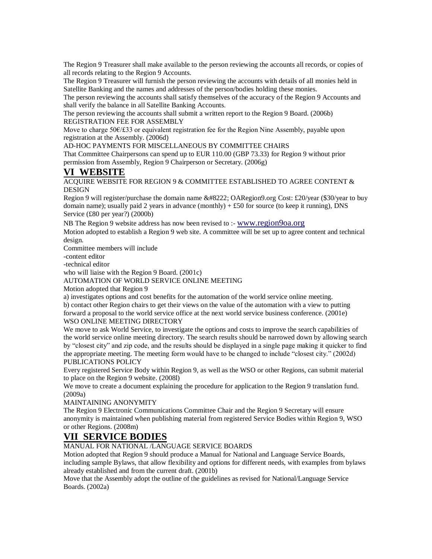The Region 9 Treasurer shall make available to the person reviewing the accounts all records, or copies of all records relating to the Region 9 Accounts.

The Region 9 Treasurer will furnish the person reviewing the accounts with details of all monies held in Satellite Banking and the names and addresses of the person/bodies holding these monies.

The person reviewing the accounts shall satisfy themselves of the accuracy of the Region 9 Accounts and shall verify the balance in all Satellite Banking Accounts.

The person reviewing the accounts shall submit a written report to the Region 9 Board. (2006b) REGISTRATION FEE FOR ASSEMBLY

Move to charge 50€/£33 or equivalent registration fee for the Region Nine Assembly, payable upon registration at the Assembly. (2006d)

AD-HOC PAYMENTS FOR MISCELLANEOUS BY COMMITTEE CHAIRS

That Committee Chairpersons can spend up to EUR 110.00 (GBP 73.33) for Region 9 without prior permission from Assembly, Region 9 Chairperson or Secretary. (2006g)

### **VI WEBSITE**

ACQUIRE WEBSITE FOR REGION 9  $\&$  COMMITTEE ESTABLISHED TO AGREE CONTENT  $\&$ DESIGN

Region 9 will register/purchase the domain name " OARegion9.org Cost: £20/year (\$30/year to buy domain name); usually paid 2 years in advance (monthly)  $+ £50$  for source (to keep it running), DNS Service (£80 per year?) (2000b)

NB The Region 9 website address has now been revised to :- [www.region9oa.org](http://www.region9oa.org/)

Motion adopted to establish a Region 9 web site. A committee will be set up to agree content and technical design.

Committee members will include

-content editor

-technical editor

who will liaise with the Region 9 Board. (2001c)

#### AUTOMATION OF WORLD SERVICE ONLINE MEETING

Motion adopted that Region 9

a) investigates options and cost benefits for the automation of the world service online meeting.

b) contact other Region chairs to get their views on the value of the automation with a view to putting forward a proposal to the world service office at the next world service business conference. (2001e) WSO ONLINE MEETING DIRECTORY

We move to ask World Service, to investigate the options and costs to improve the search capabilities of the world service online meeting directory. The search results should be narrowed down by allowing search by "closest city" and zip code, and the results should be displayed in a single page making it quicker to find the appropriate meeting. The meeting form would have to be changed to include "closest city." (2002d) PUBLICATIONS POLICY

Every registered Service Body within Region 9, as well as the WSO or other Regions, can submit material to place on the Region 9 website. (2008l)

We move to create a document explaining the procedure for application to the Region 9 translation fund. (2009a)

#### MAINTAINING ANONYMITY

The Region 9 Electronic Communications Committee Chair and the Region 9 Secretary will ensure anonymity is maintained when publishing material from registered Service Bodies within Region 9, WSO or other Regions. (2008m)

### **VII SERVICE BODIES**

MANUAL FOR NATIONAL /LANGUAGE SERVICE BOARDS

Motion adopted that Region 9 should produce a Manual for National and Language Service Boards, including sample Bylaws, that allow flexibility and options for different needs, with examples from bylaws already established and from the current draft. (2001b)

Move that the Assembly adopt the outline of the guidelines as revised for National/Language Service Boards. (2002a)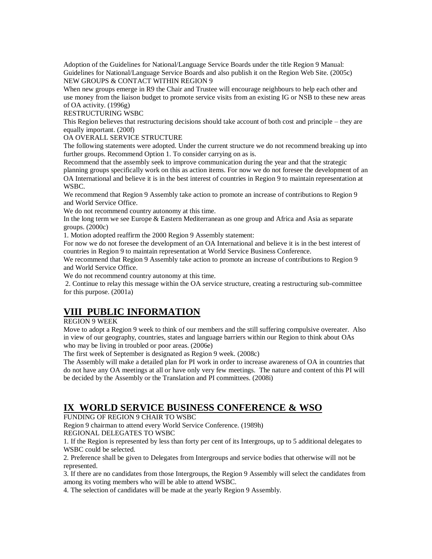Adoption of the Guidelines for National/Language Service Boards under the title Region 9 Manual: Guidelines for National/Language Service Boards and also publish it on the Region Web Site. (2005c) NEW GROUPS & CONTACT WITHIN REGION 9

When new groups emerge in R9 the Chair and Trustee will encourage neighbours to help each other and use money from the liaison budget to promote service visits from an existing IG or NSB to these new areas of OA activity. (1996g)

RESTRUCTURING WSBC

This Region believes that restructuring decisions should take account of both cost and principle – they are equally important. (200f)

OA OVERALL SERVICE STRUCTURE

The following statements were adopted. Under the current structure we do not recommend breaking up into further groups. Recommend Option 1. To consider carrying on as is.

Recommend that the assembly seek to improve communication during the year and that the strategic planning groups specifically work on this as action items. For now we do not foresee the development of an OA International and believe it is in the best interest of countries in Region 9 to maintain representation at WSBC.

We recommend that Region 9 Assembly take action to promote an increase of contributions to Region 9 and World Service Office.

We do not recommend country autonomy at this time.

In the long term we see Europe & Eastern Mediterranean as one group and Africa and Asia as separate groups. (2000c)

1. Motion adopted reaffirm the 2000 Region 9 Assembly statement:

For now we do not foresee the development of an OA International and believe it is in the best interest of countries in Region 9 to maintain representation at World Service Business Conference.

We recommend that Region 9 Assembly take action to promote an increase of contributions to Region 9 and World Service Office.

We do not recommend country autonomy at this time.

2. Continue to relay this message within the OA service structure, creating a restructuring sub-committee for this purpose. (2001a)

### **VIII PUBLIC INFORMATION**

#### REGION 9 WEEK

Move to adopt a Region 9 week to think of our members and the still suffering compulsive overeater. Also in view of our geography, countries, states and language barriers within our Region to think about OAs who may be living in troubled or poor areas. (2006e)

The first week of September is designated as Region 9 week. (2008c)

The Assembly will make a detailed plan for PI work in order to increase awareness of OA in countries that do not have any OA meetings at all or have only very few meetings. The nature and content of this PI will be decided by the Assembly or the Translation and PI committees. (2008i)

### **IX WORLD SERVICE BUSINESS CONFERENCE & WSO**

FUNDING OF REGION 9 CHAIR TO WSBC

Region 9 chairman to attend every World Service Conference. (1989h)

REGIONAL DELEGATES TO WSBC

1. If the Region is represented by less than forty per cent of its Intergroups, up to 5 additional delegates to WSBC could be selected.

2. Preference shall be given to Delegates from Intergroups and service bodies that otherwise will not be represented.

3. If there are no candidates from those Intergroups, the Region 9 Assembly will select the candidates from among its voting members who will be able to attend WSBC.

4. The selection of candidates will be made at the yearly Region 9 Assembly.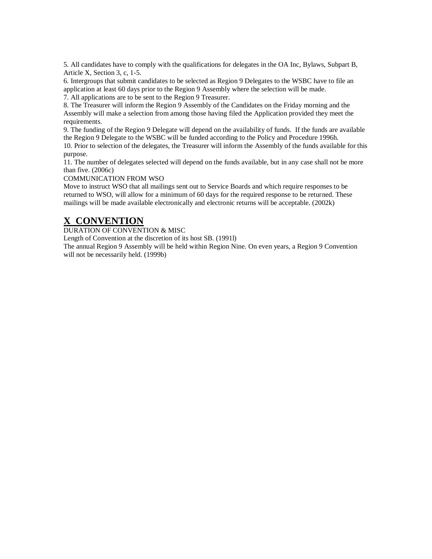5. All candidates have to comply with the qualifications for delegates in the OA Inc, Bylaws, Subpart B, Article X, Section 3, c, 1-5.

6. Intergroups that submit candidates to be selected as Region 9 Delegates to the WSBC have to file an application at least 60 days prior to the Region 9 Assembly where the selection will be made.

7. All applications are to be sent to the Region 9 Treasurer.

8. The Treasurer will inform the Region 9 Assembly of the Candidates on the Friday morning and the Assembly will make a selection from among those having filed the Application provided they meet the requirements.

9. The funding of the Region 9 Delegate will depend on the availability of funds. If the funds are available the Region 9 Delegate to the WSBC will be funded according to the Policy and Procedure 1996h. 10. Prior to selection of the delegates, the Treasurer will inform the Assembly of the funds available for this purpose.

11. The number of delegates selected will depend on the funds available, but in any case shall not be more than five. (2006c)

COMMUNICATION FROM WSO

Move to instruct WSO that all mailings sent out to Service Boards and which require responses to be returned to WSO, will allow for a minimum of 60 days for the required response to be returned. These mailings will be made available electronically and electronic returns will be acceptable. (2002k)

### **X CONVENTION**

DURATION OF CONVENTION & MISC

Length of Convention at the discretion of its host SB. (1991l)

The annual Region 9 Assembly will be held within Region Nine. On even years, a Region 9 Convention will not be necessarily held. (1999b)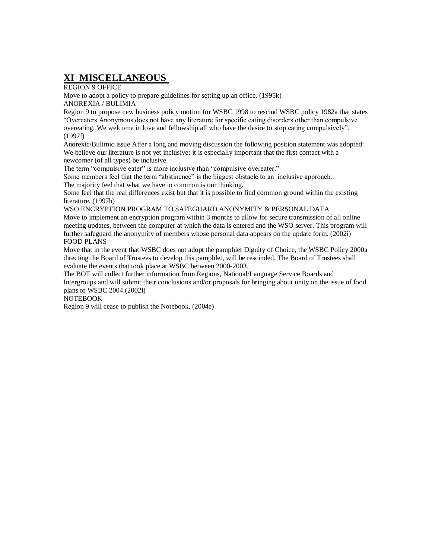### **XI MISCELLANEOUS**

REGION 9 OFFICE

Move to adopt a policy to prepare guidelines for setting up an office. (1995k) ANOREXIA / BULIMIA

Region 9 to propose new business policy motion for WSBC 1998 to rescind WSBC policy 1982a that states "Overeaters Anonymous does not have any literature for specific eating disorders other than compulsive overeating. We welcome in love and fellowship all who have the desire to stop eating compulsively". (1997f)

Anorexic/Bulimic issue After a long and moving discussion the following position statement was adopted: We believe our literature is not yet inclusive; it is especially important that the first contact with a newcomer (of all types) be inclusive.

The term "compulsive eater" is more inclusive than "compulsive overeater."

Some members feel that the term "abstinence" is the biggest obstacle to an inclusive approach. The majority feel that what we have in common is our thinking.

Some feel that the real differences exist but that it is possible to find common ground within the existing literature. (1997h)

WSO ENCRYPTION PROGRAM TO SAFEGUARD ANONYMITY & PERSONAL DATA Move to implement an encryption program within 3 months to allow for secure transmission of all online meeting updates, between the computer at which the data is entered and the WSO server. This program will further safeguard the anonymity of members whose personal data appears on the update form. (2002i) FOOD PLANS

Move that in the event that WSBC does not adopt the pamphlet Dignity of Choice, the WSBC Policy 2000a directing the Board of Trustees to develop this pamphlet, will be rescinded. The Board of Trustees shall evaluate the events that took place at WSBC between 2000-2003.

The BOT will collect further information from Regions, National/Language Service Boards and Intergroups and will submit their conclusions and/or proposals for bringing about unity on the issue of food plans to WSBC 2004.(2002l)

NOTEBOOK

Region 9 will cease to publish the Notebook. (2004e)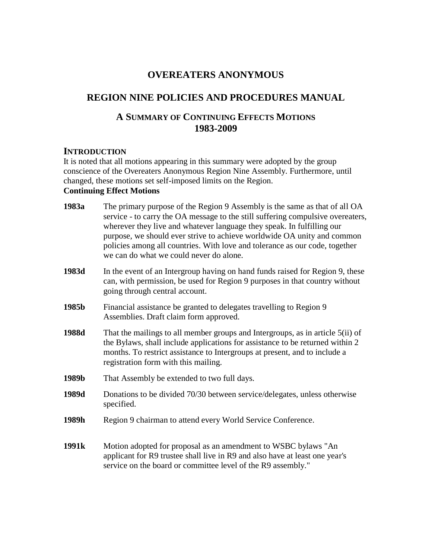### **OVEREATERS ANONYMOUS**

### **REGION NINE POLICIES AND PROCEDURES MANUAL**

### **A SUMMARY OF CONTINUING EFFECTS MOTIONS 1983-2009**

### **INTRODUCTION**

It is noted that all motions appearing in this summary were adopted by the group conscience of the Overeaters Anonymous Region Nine Assembly. Furthermore, until changed, these motions set self-imposed limits on the Region. **Continuing Effect Motions** 

### **1983a** The primary purpose of the Region 9 Assembly is the same as that of all OA service - to carry the OA message to the still suffering compulsive overeaters, wherever they live and whatever language they speak. In fulfilling our purpose, we should ever strive to achieve worldwide OA unity and common policies among all countries. With love and tolerance as our code, together we can do what we could never do alone.

- **1983d** In the event of an Intergroup having on hand funds raised for Region 9, these can, with permission, be used for Region 9 purposes in that country without going through central account.
- **1985b** Financial assistance be granted to delegates travelling to Region 9 Assemblies. Draft claim form approved.
- **1988d** That the mailings to all member groups and Intergroups, as in article 5(ii) of the Bylaws, shall include applications for assistance to be returned within 2 months. To restrict assistance to Intergroups at present, and to include a registration form with this mailing.
- **1989b** That Assembly be extended to two full days.
- **1989d** Donations to be divided 70/30 between service/delegates, unless otherwise specified.
- 1989h Region 9 chairman to attend every World Service Conference.
- **1991k** Motion adopted for proposal as an amendment to WSBC bylaws "An applicant for R9 trustee shall live in R9 and also have at least one year's service on the board or committee level of the R9 assembly."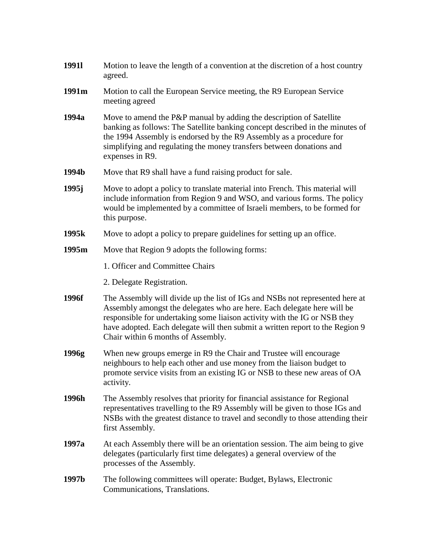| 19911             | Motion to leave the length of a convention at the discretion of a host country<br>agreed.                                                                                                                                                                                                                                                                   |
|-------------------|-------------------------------------------------------------------------------------------------------------------------------------------------------------------------------------------------------------------------------------------------------------------------------------------------------------------------------------------------------------|
| 1991m             | Motion to call the European Service meeting, the R9 European Service<br>meeting agreed                                                                                                                                                                                                                                                                      |
| 1994a             | Move to amend the P&P manual by adding the description of Satellite<br>banking as follows: The Satellite banking concept described in the minutes of<br>the 1994 Assembly is endorsed by the R9 Assembly as a procedure for<br>simplifying and regulating the money transfers between donations and<br>expenses in R9.                                      |
| 1994b             | Move that R9 shall have a fund raising product for sale.                                                                                                                                                                                                                                                                                                    |
| 1995 <sub>j</sub> | Move to adopt a policy to translate material into French. This material will<br>include information from Region 9 and WSO, and various forms. The policy<br>would be implemented by a committee of Israeli members, to be formed for<br>this purpose.                                                                                                       |
| 1995 <sub>k</sub> | Move to adopt a policy to prepare guidelines for setting up an office.                                                                                                                                                                                                                                                                                      |
| 1995m             | Move that Region 9 adopts the following forms:                                                                                                                                                                                                                                                                                                              |
|                   | 1. Officer and Committee Chairs                                                                                                                                                                                                                                                                                                                             |
|                   | 2. Delegate Registration.                                                                                                                                                                                                                                                                                                                                   |
| 1996f             | The Assembly will divide up the list of IGs and NSBs not represented here at<br>Assembly amongst the delegates who are here. Each delegate here will be<br>responsible for undertaking some liaison activity with the IG or NSB they<br>have adopted. Each delegate will then submit a written report to the Region 9<br>Chair within 6 months of Assembly. |
| 1996g             | When new groups emerge in R9 the Chair and Trustee will encourage<br>neighbours to help each other and use money from the liaison budget to<br>promote service visits from an existing IG or NSB to these new areas of OA<br>activity.                                                                                                                      |
| 1996h             | The Assembly resolves that priority for financial assistance for Regional<br>representatives travelling to the R9 Assembly will be given to those IGs and<br>NSBs with the greatest distance to travel and secondly to those attending their<br>first Assembly.                                                                                             |
| 1997a             | At each Assembly there will be an orientation session. The aim being to give<br>delegates (particularly first time delegates) a general overview of the<br>processes of the Assembly.                                                                                                                                                                       |
| 1997b             | The following committees will operate: Budget, Bylaws, Electronic<br>Communications, Translations.                                                                                                                                                                                                                                                          |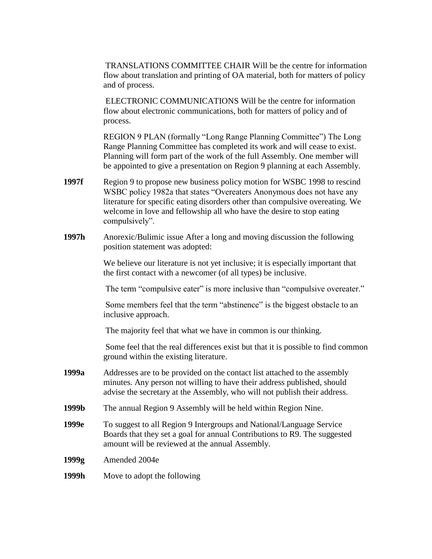TRANSLATIONS COMMITTEE CHAIR Will be the centre for information flow about translation and printing of OA material, both for matters of policy and of process.

ELECTRONIC COMMUNICATIONS Will be the centre for information flow about electronic communications, both for matters of policy and of process.

REGION 9 PLAN (formally "Long Range Planning Committee") The Long Range Planning Committee has completed its work and will cease to exist. Planning will form part of the work of the full Assembly. One member will be appointed to give a presentation on Region 9 planning at each Assembly.

- **1997f** Region 9 to propose new business policy motion for WSBC 1998 to rescind WSBC policy 1982a that states "Overeaters Anonymous does not have any literature for specific eating disorders other than compulsive overeating. We welcome in love and fellowship all who have the desire to stop eating compulsively".
- **1997h** Anorexic/Bulimic issue After a long and moving discussion the following position statement was adopted:

We believe our literature is not yet inclusive; it is especially important that the first contact with a newcomer (of all types) be inclusive.

The term "compulsive eater" is more inclusive than "compulsive overeater."

Some members feel that the term "abstinence" is the biggest obstacle to an inclusive approach.

The majority feel that what we have in common is our thinking.

Some feel that the real differences exist but that it is possible to find common ground within the existing literature.

- **1999a** Addresses are to be provided on the contact list attached to the assembly minutes. Any person not willing to have their address published, should advise the secretary at the Assembly, who will not publish their address.
- **1999b** The annual Region 9 Assembly will be held within Region Nine.
- **1999e** To suggest to all Region 9 Intergroups and National/Language Service Boards that they set a goal for annual Contributions to R9. The suggested amount will be reviewed at the annual Assembly.
- **1999g** Amended 2004e

#### **1999h** Move to adopt the following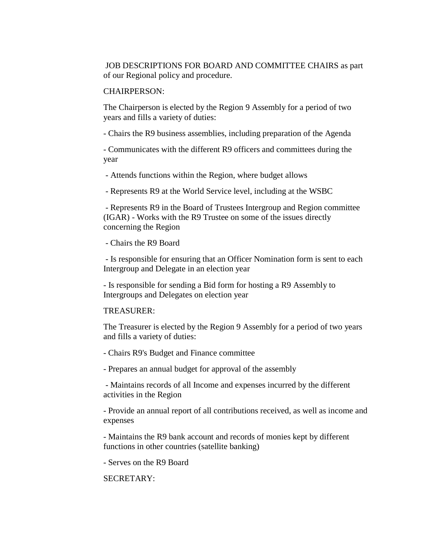JOB DESCRIPTIONS FOR BOARD AND COMMITTEE CHAIRS as part of our Regional policy and procedure.

#### CHAIRPERSON:

The Chairperson is elected by the Region 9 Assembly for a period of two years and fills a variety of duties:

- Chairs the R9 business assemblies, including preparation of the Agenda

- Communicates with the different R9 officers and committees during the year

- Attends functions within the Region, where budget allows

- Represents R9 at the World Service level, including at the WSBC

- Represents R9 in the Board of Trustees Intergroup and Region committee (IGAR) - Works with the R9 Trustee on some of the issues directly concerning the Region

- Chairs the R9 Board

- Is responsible for ensuring that an Officer Nomination form is sent to each Intergroup and Delegate in an election year

- Is responsible for sending a Bid form for hosting a R9 Assembly to Intergroups and Delegates on election year

#### TREASURER:

The Treasurer is elected by the Region 9 Assembly for a period of two years and fills a variety of duties:

- Chairs R9's Budget and Finance committee

- Prepares an annual budget for approval of the assembly

- Maintains records of all Income and expenses incurred by the different activities in the Region

- Provide an annual report of all contributions received, as well as income and expenses

- Maintains the R9 bank account and records of monies kept by different functions in other countries (satellite banking)

- Serves on the R9 Board

#### SECRETARY: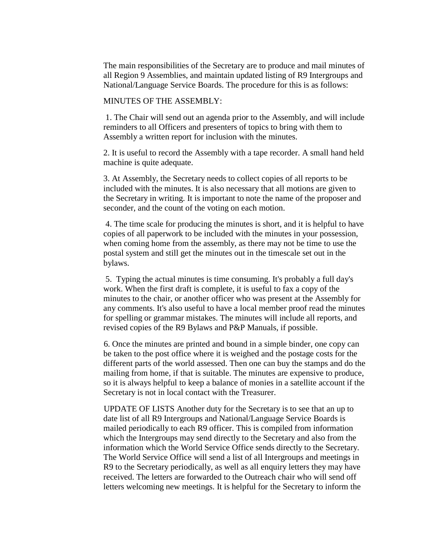The main responsibilities of the Secretary are to produce and mail minutes of all Region 9 Assemblies, and maintain updated listing of R9 Intergroups and National/Language Service Boards. The procedure for this is as follows:

MINUTES OF THE ASSEMBLY:

1. The Chair will send out an agenda prior to the Assembly, and will include reminders to all Officers and presenters of topics to bring with them to Assembly a written report for inclusion with the minutes.

2. It is useful to record the Assembly with a tape recorder. A small hand held machine is quite adequate.

3. At Assembly, the Secretary needs to collect copies of all reports to be included with the minutes. It is also necessary that all motions are given to the Secretary in writing. It is important to note the name of the proposer and seconder, and the count of the voting on each motion.

4. The time scale for producing the minutes is short, and it is helpful to have copies of all paperwork to be included with the minutes in your possession, when coming home from the assembly, as there may not be time to use the postal system and still get the minutes out in the timescale set out in the bylaws.

5. Typing the actual minutes is time consuming. It's probably a full day's work. When the first draft is complete, it is useful to fax a copy of the minutes to the chair, or another officer who was present at the Assembly for any comments. It's also useful to have a local member proof read the minutes for spelling or grammar mistakes. The minutes will include all reports, and revised copies of the R9 Bylaws and P&P Manuals, if possible.

 6. Once the minutes are printed and bound in a simple binder, one copy can be taken to the post office where it is weighed and the postage costs for the different parts of the world assessed. Then one can buy the stamps and do the mailing from home, if that is suitable. The minutes are expensive to produce, so it is always helpful to keep a balance of monies in a satellite account if the Secretary is not in local contact with the Treasurer.

 UPDATE OF LISTS Another duty for the Secretary is to see that an up to date list of all R9 Intergroups and National/Language Service Boards is mailed periodically to each R9 officer. This is compiled from information which the Intergroups may send directly to the Secretary and also from the information which the World Service Office sends directly to the Secretary. The World Service Office will send a list of all Intergroups and meetings in R9 to the Secretary periodically, as well as all enquiry letters they may have received. The letters are forwarded to the Outreach chair who will send off letters welcoming new meetings. It is helpful for the Secretary to inform the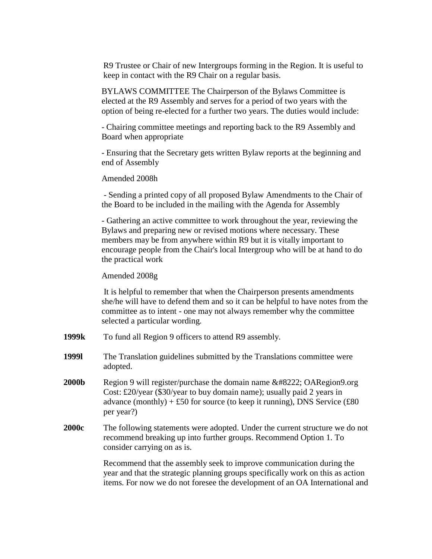R9 Trustee or Chair of new Intergroups forming in the Region. It is useful to keep in contact with the R9 Chair on a regular basis.

BYLAWS COMMITTEE The Chairperson of the Bylaws Committee is elected at the R9 Assembly and serves for a period of two years with the option of being re-elected for a further two years. The duties would include:

- Chairing committee meetings and reporting back to the R9 Assembly and Board when appropriate

- Ensuring that the Secretary gets written Bylaw reports at the beginning and end of Assembly

Amended 2008h

- Sending a printed copy of all proposed Bylaw Amendments to the Chair of the Board to be included in the mailing with the Agenda for Assembly

- Gathering an active committee to work throughout the year, reviewing the Bylaws and preparing new or revised motions where necessary. These members may be from anywhere within R9 but it is vitally important to encourage people from the Chair's local Intergroup who will be at hand to do the practical work

Amended 2008g

It is helpful to remember that when the Chairperson presents amendments she/he will have to defend them and so it can be helpful to have notes from the committee as to intent - one may not always remember why the committee selected a particular wording.

- **1999k** To fund all Region 9 officers to attend R9 assembly.
- **1999l** The Translation guidelines submitted by the Translations committee were adopted.
- **2000b** Region 9 will register/purchase the domain name  $\&\#8222$ ; OARegion9.org Cost: £20/year (\$30/year to buy domain name); usually paid 2 years in advance (monthly) + £50 for source (to keep it running), DNS Service (£80 per year?)
- **2000c** The following statements were adopted. Under the current structure we do not recommend breaking up into further groups. Recommend Option 1. To consider carrying on as is.

Recommend that the assembly seek to improve communication during the year and that the strategic planning groups specifically work on this as action items. For now we do not foresee the development of an OA International and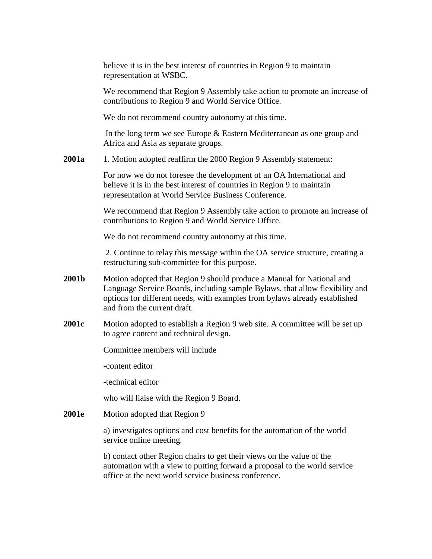believe it is in the best interest of countries in Region 9 to maintain representation at WSBC.

We recommend that Region 9 Assembly take action to promote an increase of contributions to Region 9 and World Service Office.

We do not recommend country autonomy at this time.

In the long term we see Europe & Eastern Mediterranean as one group and Africa and Asia as separate groups.

**2001a** 1. Motion adopted reaffirm the 2000 Region 9 Assembly statement:

For now we do not foresee the development of an OA International and believe it is in the best interest of countries in Region 9 to maintain representation at World Service Business Conference.

We recommend that Region 9 Assembly take action to promote an increase of contributions to Region 9 and World Service Office.

We do not recommend country autonomy at this time.

2. Continue to relay this message within the OA service structure, creating a restructuring sub-committee for this purpose.

- **2001b** Motion adopted that Region 9 should produce a Manual for National and Language Service Boards, including sample Bylaws, that allow flexibility and options for different needs, with examples from bylaws already established and from the current draft.
- **2001c** Motion adopted to establish a Region 9 web site. A committee will be set up to agree content and technical design.

Committee members will include

-content editor

-technical editor

who will liaise with the Region 9 Board.

**2001e** Motion adopted that Region 9

a) investigates options and cost benefits for the automation of the world service online meeting.

b) contact other Region chairs to get their views on the value of the automation with a view to putting forward a proposal to the world service office at the next world service business conference.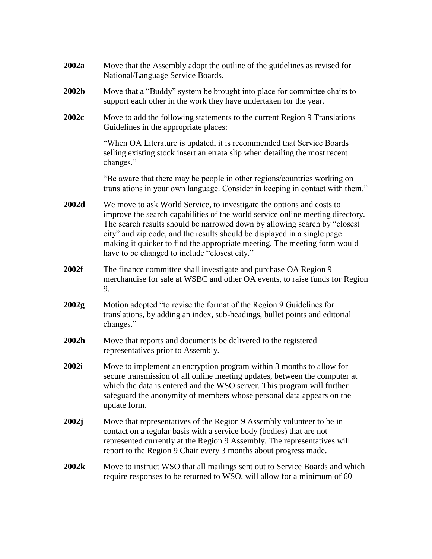| 2002a | Move that the Assembly adopt the outline of the guidelines as revised for<br>National/Language Service Boards.                                                                                                                                                                                                                                                                                                                                  |
|-------|-------------------------------------------------------------------------------------------------------------------------------------------------------------------------------------------------------------------------------------------------------------------------------------------------------------------------------------------------------------------------------------------------------------------------------------------------|
| 2002b | Move that a "Buddy" system be brought into place for committee chairs to<br>support each other in the work they have undertaken for the year.                                                                                                                                                                                                                                                                                                   |
| 2002c | Move to add the following statements to the current Region 9 Translations<br>Guidelines in the appropriate places:                                                                                                                                                                                                                                                                                                                              |
|       | "When OA Literature is updated, it is recommended that Service Boards<br>selling existing stock insert an errata slip when detailing the most recent<br>changes."                                                                                                                                                                                                                                                                               |
|       | "Be aware that there may be people in other regions/countries working on<br>translations in your own language. Consider in keeping in contact with them."                                                                                                                                                                                                                                                                                       |
| 2002d | We move to ask World Service, to investigate the options and costs to<br>improve the search capabilities of the world service online meeting directory.<br>The search results should be narrowed down by allowing search by "closest"<br>city" and zip code, and the results should be displayed in a single page<br>making it quicker to find the appropriate meeting. The meeting form would<br>have to be changed to include "closest city." |
| 2002f | The finance committee shall investigate and purchase OA Region 9<br>merchandise for sale at WSBC and other OA events, to raise funds for Region<br>9.                                                                                                                                                                                                                                                                                           |
| 2002g | Motion adopted "to revise the format of the Region 9 Guidelines for<br>translations, by adding an index, sub-headings, bullet points and editorial<br>changes."                                                                                                                                                                                                                                                                                 |
| 2002h | Move that reports and documents be delivered to the registered<br>representatives prior to Assembly.                                                                                                                                                                                                                                                                                                                                            |
| 2002i | Move to implement an encryption program within 3 months to allow for<br>secure transmission of all online meeting updates, between the computer at<br>which the data is entered and the WSO server. This program will further<br>safeguard the anonymity of members whose personal data appears on the<br>update form.                                                                                                                          |
| 2002j | Move that representatives of the Region 9 Assembly volunteer to be in<br>contact on a regular basis with a service body (bodies) that are not<br>represented currently at the Region 9 Assembly. The representatives will<br>report to the Region 9 Chair every 3 months about progress made.                                                                                                                                                   |
| 2002k | Move to instruct WSO that all mailings sent out to Service Boards and which<br>require responses to be returned to WSO, will allow for a minimum of 60                                                                                                                                                                                                                                                                                          |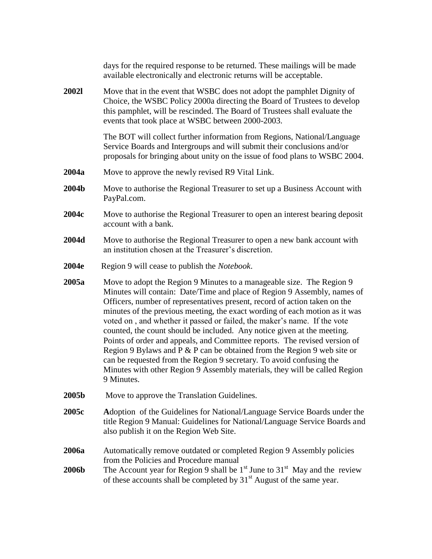|              | days for the required response to be returned. These mailings will be made<br>available electronically and electronic returns will be acceptable.                                                                                                                                                                                                                                                                                                                                                                                                                                                                                                                                                                                                                                                     |
|--------------|-------------------------------------------------------------------------------------------------------------------------------------------------------------------------------------------------------------------------------------------------------------------------------------------------------------------------------------------------------------------------------------------------------------------------------------------------------------------------------------------------------------------------------------------------------------------------------------------------------------------------------------------------------------------------------------------------------------------------------------------------------------------------------------------------------|
| <b>20021</b> | Move that in the event that WSBC does not adopt the pamphlet Dignity of<br>Choice, the WSBC Policy 2000a directing the Board of Trustees to develop<br>this pamphlet, will be rescinded. The Board of Trustees shall evaluate the<br>events that took place at WSBC between 2000-2003.                                                                                                                                                                                                                                                                                                                                                                                                                                                                                                                |
|              | The BOT will collect further information from Regions, National/Language<br>Service Boards and Intergroups and will submit their conclusions and/or<br>proposals for bringing about unity on the issue of food plans to WSBC 2004.                                                                                                                                                                                                                                                                                                                                                                                                                                                                                                                                                                    |
| 2004a        | Move to approve the newly revised R9 Vital Link.                                                                                                                                                                                                                                                                                                                                                                                                                                                                                                                                                                                                                                                                                                                                                      |
| 2004b        | Move to authorise the Regional Treasurer to set up a Business Account with<br>PayPal.com.                                                                                                                                                                                                                                                                                                                                                                                                                                                                                                                                                                                                                                                                                                             |
| 2004c        | Move to authorise the Regional Treasurer to open an interest bearing deposit<br>account with a bank.                                                                                                                                                                                                                                                                                                                                                                                                                                                                                                                                                                                                                                                                                                  |
| 2004d        | Move to authorise the Regional Treasurer to open a new bank account with<br>an institution chosen at the Treasurer's discretion.                                                                                                                                                                                                                                                                                                                                                                                                                                                                                                                                                                                                                                                                      |
| 2004e        | Region 9 will cease to publish the <i>Notebook</i> .                                                                                                                                                                                                                                                                                                                                                                                                                                                                                                                                                                                                                                                                                                                                                  |
| 2005a        | Move to adopt the Region 9 Minutes to a manageable size. The Region 9<br>Minutes will contain: Date/Time and place of Region 9 Assembly, names of<br>Officers, number of representatives present, record of action taken on the<br>minutes of the previous meeting, the exact wording of each motion as it was<br>voted on, and whether it passed or failed, the maker's name. If the vote<br>counted, the count should be included. Any notice given at the meeting.<br>Points of order and appeals, and Committee reports. The revised version of<br>Region 9 Bylaws and $P \& P$ can be obtained from the Region 9 web site or<br>can be requested from the Region 9 secretary. To avoid confusing the<br>Minutes with other Region 9 Assembly materials, they will be called Region<br>9 Minutes. |
| 2005b        | Move to approve the Translation Guidelines.                                                                                                                                                                                                                                                                                                                                                                                                                                                                                                                                                                                                                                                                                                                                                           |
| 2005c        | Adoption of the Guidelines for National/Language Service Boards under the<br>title Region 9 Manual: Guidelines for National/Language Service Boards and<br>also publish it on the Region Web Site.                                                                                                                                                                                                                                                                                                                                                                                                                                                                                                                                                                                                    |
| 2006a        | Automatically remove outdated or completed Region 9 Assembly policies<br>from the Policies and Procedure manual                                                                                                                                                                                                                                                                                                                                                                                                                                                                                                                                                                                                                                                                                       |
| <b>2006b</b> | The Account year for Region 9 shall be $1st$ June to $31st$ May and the review<br>of these accounts shall be completed by $31st$ August of the same year.                                                                                                                                                                                                                                                                                                                                                                                                                                                                                                                                                                                                                                             |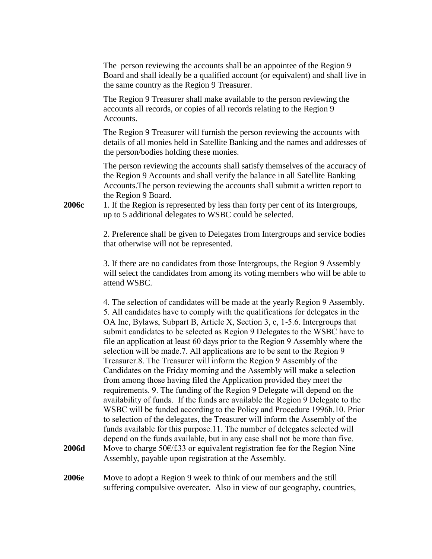The person reviewing the accounts shall be an appointee of the Region 9 Board and shall ideally be a qualified account (or equivalent) and shall live in the same country as the Region 9 Treasurer.

The Region 9 Treasurer shall make available to the person reviewing the accounts all records, or copies of all records relating to the Region 9 Accounts.

The Region 9 Treasurer will furnish the person reviewing the accounts with details of all monies held in Satellite Banking and the names and addresses of the person/bodies holding these monies.

The person reviewing the accounts shall satisfy themselves of the accuracy of the Region 9 Accounts and shall verify the balance in all Satellite Banking Accounts.The person reviewing the accounts shall submit a written report to the Region 9 Board.

**2006c** 1. If the Region is represented by less than forty per cent of its Intergroups, up to 5 additional delegates to WSBC could be selected.

> 2. Preference shall be given to Delegates from Intergroups and service bodies that otherwise will not be represented.

> 3. If there are no candidates from those Intergroups, the Region 9 Assembly will select the candidates from among its voting members who will be able to attend WSBC.

4. The selection of candidates will be made at the yearly Region 9 Assembly. 5. All candidates have to comply with the qualifications for delegates in the OA Inc, Bylaws, Subpart B, Article X, Section 3, c, 1-5.6. Intergroups that submit candidates to be selected as Region 9 Delegates to the WSBC have to file an application at least 60 days prior to the Region 9 Assembly where the selection will be made.7. All applications are to be sent to the Region 9 Treasurer.8. The Treasurer will inform the Region 9 Assembly of the Candidates on the Friday morning and the Assembly will make a selection from among those having filed the Application provided they meet the requirements. 9. The funding of the Region 9 Delegate will depend on the availability of funds. If the funds are available the Region 9 Delegate to the WSBC will be funded according to the Policy and Procedure 1996h.10. Prior to selection of the delegates, the Treasurer will inform the Assembly of the funds available for this purpose.11. The number of delegates selected will depend on the funds available, but in any case shall not be more than five. **2006d** Move to charge 50€/£33 or equivalent registration fee for the Region Nine Assembly, payable upon registration at the Assembly.

**2006e** Move to adopt a Region 9 week to think of our members and the still suffering compulsive overeater. Also in view of our geography, countries,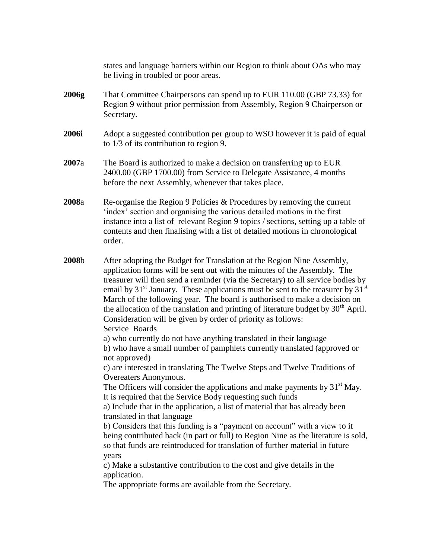states and language barriers within our Region to think about OAs who may be living in troubled or poor areas.

- **2006g** That Committee Chairpersons can spend up to EUR 110.00 (GBP 73.33) for Region 9 without prior permission from Assembly, Region 9 Chairperson or Secretary.
- **2006i** Adopt a suggested contribution per group to WSO however it is paid of equal to 1/3 of its contribution to region 9.
- **2007**a The Board is authorized to make a decision on transferring up to EUR 2400.00 (GBP 1700.00) from Service to Delegate Assistance, 4 months before the next Assembly, whenever that takes place.
- **2008**a Re-organise the Region 9 Policies & Procedures by removing the current index' section and organising the various detailed motions in the first instance into a list of relevant Region 9 topics / sections, setting up a table of contents and then finalising with a list of detailed motions in chronological order.
- **2008**b After adopting the Budget for Translation at the Region Nine Assembly, application forms will be sent out with the minutes of the Assembly. The treasurer will then send a reminder (via the Secretary) to all service bodies by email by  $31<sup>st</sup>$  January. These applications must be sent to the treasurer by  $31<sup>st</sup>$ March of the following year. The board is authorised to make a decision on the allocation of the translation and printing of literature budget by  $30<sup>th</sup>$  April. Consideration will be given by order of priority as follows: Service Boards

a) who currently do not have anything translated in their language b) who have a small number of pamphlets currently translated (approved or not approved)

c) are interested in translating The Twelve Steps and Twelve Traditions of Overeaters Anonymous.

The Officers will consider the applications and make payments by  $31<sup>st</sup>$  May. It is required that the Service Body requesting such funds

a) Include that in the application, a list of material that has already been translated in that language

b) Considers that this funding is a "payment on account" with a view to it being contributed back (in part or full) to Region Nine as the literature is sold, so that funds are reintroduced for translation of further material in future years

c) Make a substantive contribution to the cost and give details in the application.

The appropriate forms are available from the Secretary.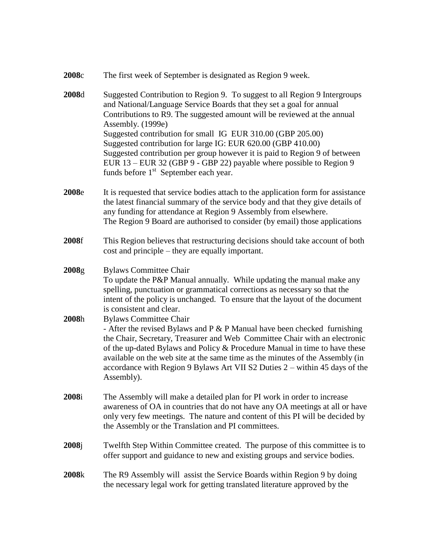| 2008c |  |  | The first week of September is designated as Region 9 week. |  |
|-------|--|--|-------------------------------------------------------------|--|
|       |  |  |                                                             |  |

- **2008**d Suggested Contribution to Region 9. To suggest to all Region 9 Intergroups and National/Language Service Boards that they set a goal for annual Contributions to R9. The suggested amount will be reviewed at the annual Assembly. (1999e) Suggested contribution for small IG EUR 310.00 (GBP 205.00) Suggested contribution for large IG: EUR 620.00 (GBP 410.00) Suggested contribution per group however it is paid to Region 9 of between EUR 13 – EUR 32 (GBP 9 - GBP 22) payable where possible to Region 9 funds before 1<sup>st</sup> September each year.
- **2008**e It is requested that service bodies attach to the application form for assistance the latest financial summary of the service body and that they give details of any funding for attendance at Region 9 Assembly from elsewhere. The Region 9 Board are authorised to consider (by email) those applications
- **2008**f This Region believes that restructuring decisions should take account of both cost and principle – they are equally important.
- **2008**g Bylaws Committee Chair To update the P&P Manual annually. While updating the manual make any spelling, punctuation or grammatical corrections as necessary so that the intent of the policy is unchanged. To ensure that the layout of the document is consistent and clear.
- **2008**h Bylaws Committee Chair - After the revised Bylaws and P  $&$  P Manual have been checked furnishing the Chair, Secretary, Treasurer and Web Committee Chair with an electronic of the up-dated Bylaws and Policy & Procedure Manual in time to have these available on the web site at the same time as the minutes of the Assembly (in accordance with Region 9 Bylaws Art VII S2 Duties 2 – within 45 days of the Assembly).
- **2008**i The Assembly will make a detailed plan for PI work in order to increase awareness of OA in countries that do not have any OA meetings at all or have only very few meetings. The nature and content of this PI will be decided by the Assembly or the Translation and PI committees.
- **2008**j Twelfth Step Within Committee created. The purpose of this committee is to offer support and guidance to new and existing groups and service bodies.
- **2008**k The R9 Assembly will assist the Service Boards within Region 9 by doing the necessary legal work for getting translated literature approved by the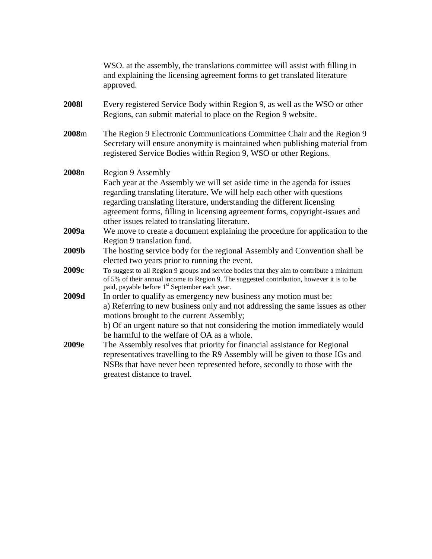|       | WSO, at the assembly, the translations committee will assist with filling in<br>and explaining the licensing agreement forms to get translated literature<br>approved.                                                                                                                                                                                                                  |
|-------|-----------------------------------------------------------------------------------------------------------------------------------------------------------------------------------------------------------------------------------------------------------------------------------------------------------------------------------------------------------------------------------------|
| 20081 | Every registered Service Body within Region 9, as well as the WSO or other<br>Regions, can submit material to place on the Region 9 website.                                                                                                                                                                                                                                            |
| 2008m | The Region 9 Electronic Communications Committee Chair and the Region 9<br>Secretary will ensure anonymity is maintained when publishing material from<br>registered Service Bodies within Region 9, WSO or other Regions.                                                                                                                                                              |
| 2008n | Region 9 Assembly<br>Each year at the Assembly we will set aside time in the agenda for issues<br>regarding translating literature. We will help each other with questions<br>regarding translating literature, understanding the different licensing<br>agreement forms, filling in licensing agreement forms, copyright-issues and<br>other issues related to translating literature. |
| 2009a | We move to create a document explaining the procedure for application to the<br>Region 9 translation fund.                                                                                                                                                                                                                                                                              |
| 2009b | The hosting service body for the regional Assembly and Convention shall be<br>elected two years prior to running the event.                                                                                                                                                                                                                                                             |
| 2009c | To suggest to all Region 9 groups and service bodies that they aim to contribute a minimum<br>of 5% of their annual income to Region 9. The suggested contribution, however it is to be<br>paid, payable before 1 <sup>st</sup> September each year.                                                                                                                                    |
| 2009d | In order to qualify as emergency new business any motion must be:<br>a) Referring to new business only and not addressing the same issues as other<br>motions brought to the current Assembly;<br>b) Of an urgent nature so that not considering the motion immediately would<br>be harmful to the welfare of OA as a whole.                                                            |
| 2009e | The Assembly resolves that priority for financial assistance for Regional<br>representatives travelling to the R9 Assembly will be given to those IGs and<br>NSBs that have never been represented before, secondly to those with the<br>greatest distance to travel.                                                                                                                   |